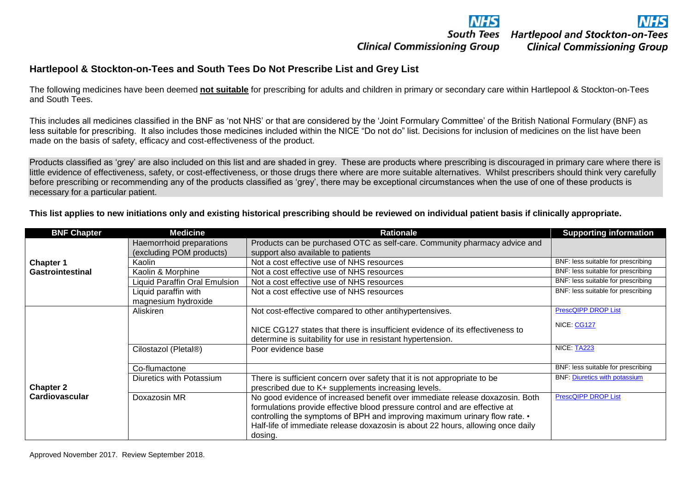

**Clinical Commissioning Group** 

## **Clinical Commissioning Group**

## **Hartlepool & Stockton-on-Tees and South Tees Do Not Prescribe List and Grey List**

The following medicines have been deemed **not suitable** for prescribing for adults and children in primary or secondary care within Hartlepool & Stockton-on-Tees and South Tees.

This includes all medicines classified in the BNF as 'not NHS' or that are considered by the 'Joint Formulary Committee' of the British National Formulary (BNF) as less suitable for prescribing. It also includes those medicines included within the NICE "Do not do" list. Decisions for inclusion of medicines on the list have been made on the basis of safety, efficacy and cost-effectiveness of the product.

Products classified as 'grey' are also included on this list and are shaded in grey. These are products where prescribing is discouraged in primary care where there is little evidence of effectiveness, safety, or cost-effectiveness, or those drugs there where are more suitable alternatives. Whilst prescribers should think very carefully before prescribing or recommending any of the products classified as 'grey', there may be exceptional circumstances when the use of one of these products is necessary for a particular patient.

**This list applies to new initiations only and existing historical prescribing should be reviewed on individual patient basis if clinically appropriate.**

| <b>BNF Chapter</b>      | <b>Medicine</b>              | <b>Rationale</b>                                                                                                                                                                                                                                                                                                                       | <b>Supporting information</b>        |
|-------------------------|------------------------------|----------------------------------------------------------------------------------------------------------------------------------------------------------------------------------------------------------------------------------------------------------------------------------------------------------------------------------------|--------------------------------------|
|                         | Haemorrhoid preparations     | Products can be purchased OTC as self-care. Community pharmacy advice and                                                                                                                                                                                                                                                              |                                      |
|                         | (excluding POM products)     | support also available to patients                                                                                                                                                                                                                                                                                                     |                                      |
| <b>Chapter 1</b>        | Kaolin                       | Not a cost effective use of NHS resources                                                                                                                                                                                                                                                                                              | BNF: less suitable for prescribing   |
| <b>Gastrointestinal</b> | Kaolin & Morphine            | Not a cost effective use of NHS resources                                                                                                                                                                                                                                                                                              | BNF: less suitable for prescribing   |
|                         | iquid Paraffin Oral Emulsion | Not a cost effective use of NHS resources                                                                                                                                                                                                                                                                                              | BNF: less suitable for prescribing   |
|                         | Liquid paraffin with         | Not a cost effective use of NHS resources                                                                                                                                                                                                                                                                                              | BNF: less suitable for prescribing   |
|                         | magnesium hydroxide          |                                                                                                                                                                                                                                                                                                                                        |                                      |
|                         | Aliskiren                    | Not cost-effective compared to other antihypertensives.                                                                                                                                                                                                                                                                                | <b>PrescQIPP DROP List</b>           |
|                         |                              | NICE CG127 states that there is insufficient evidence of its effectiveness to<br>determine is suitability for use in resistant hypertension.                                                                                                                                                                                           | NICE: CG127                          |
|                         | Cilostazol (Pletal®)         | Poor evidence base                                                                                                                                                                                                                                                                                                                     | NICE: TA223                          |
|                         | Co-flumactone                |                                                                                                                                                                                                                                                                                                                                        | BNF: less suitable for prescribing   |
| <b>Chapter 2</b>        | Diuretics with Potassium     | There is sufficient concern over safety that it is not appropriate to be<br>prescribed due to K+ supplements increasing levels.                                                                                                                                                                                                        | <b>BNF: Diuretics with potassium</b> |
| <b>Cardiovascular</b>   | Doxazosin MR                 | No good evidence of increased benefit over immediate release doxazosin. Both<br>formulations provide effective blood pressure control and are effective at<br>controlling the symptoms of BPH and improving maximum urinary flow rate. •<br>Half-life of immediate release doxazosin is about 22 hours, allowing once daily<br>dosing. | <b>PrescQIPP DROP List</b>           |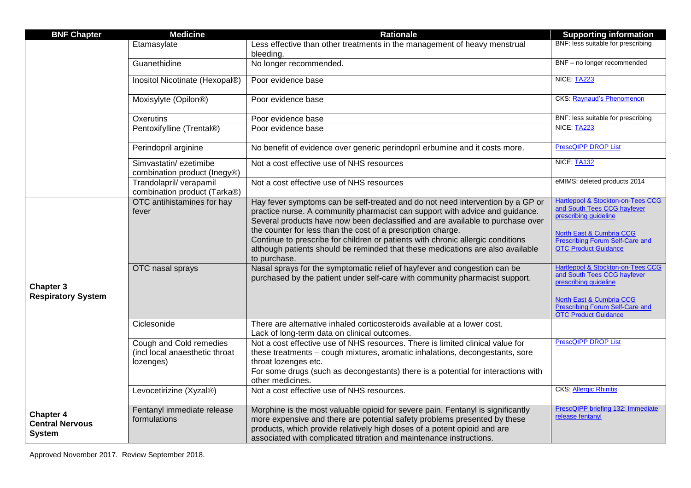| <b>BNF Chapter</b>                                          | <b>Medicine</b>                                                        | <b>Rationale</b>                                                                                                                                                                                                                                                                                                                                                                                                                                                                                      | <b>Supporting information</b>                                                                                                                                                                      |
|-------------------------------------------------------------|------------------------------------------------------------------------|-------------------------------------------------------------------------------------------------------------------------------------------------------------------------------------------------------------------------------------------------------------------------------------------------------------------------------------------------------------------------------------------------------------------------------------------------------------------------------------------------------|----------------------------------------------------------------------------------------------------------------------------------------------------------------------------------------------------|
|                                                             | Etamasylate                                                            | Less effective than other treatments in the management of heavy menstrual<br>bleeding.                                                                                                                                                                                                                                                                                                                                                                                                                | BNF: less suitable for prescribing                                                                                                                                                                 |
|                                                             | Guanethidine                                                           | No longer recommended.                                                                                                                                                                                                                                                                                                                                                                                                                                                                                | BNF - no longer recommended                                                                                                                                                                        |
|                                                             | Inositol Nicotinate (Hexopal®)                                         | Poor evidence base                                                                                                                                                                                                                                                                                                                                                                                                                                                                                    | NICE: TA223                                                                                                                                                                                        |
|                                                             | Moxisylyte (Opilon <sup>®</sup> )                                      | Poor evidence base                                                                                                                                                                                                                                                                                                                                                                                                                                                                                    | <b>CKS: Raynaud's Phenomenon</b>                                                                                                                                                                   |
|                                                             | Oxerutins                                                              | Poor evidence base                                                                                                                                                                                                                                                                                                                                                                                                                                                                                    | BNF: less suitable for prescribing                                                                                                                                                                 |
|                                                             | Pentoxifylline (Trental®)                                              | Poor evidence base                                                                                                                                                                                                                                                                                                                                                                                                                                                                                    | NICE: TA223                                                                                                                                                                                        |
|                                                             | Perindopril arginine                                                   | No benefit of evidence over generic perindopril erbumine and it costs more.                                                                                                                                                                                                                                                                                                                                                                                                                           | <b>PrescQIPP DROP List</b>                                                                                                                                                                         |
|                                                             | Simvastatin/ezetimibe<br>combination product (Inegy®)                  | Not a cost effective use of NHS resources                                                                                                                                                                                                                                                                                                                                                                                                                                                             | NICE: TA132                                                                                                                                                                                        |
|                                                             | Trandolapril/verapamil<br>combination product (Tarka®)                 | Not a cost effective use of NHS resources                                                                                                                                                                                                                                                                                                                                                                                                                                                             | eMIMS: deleted products 2014                                                                                                                                                                       |
|                                                             | OTC antihistamines for hay<br>fever                                    | Hay fever symptoms can be self-treated and do not need intervention by a GP or<br>practice nurse. A community pharmacist can support with advice and guidance.<br>Several products have now been declassified and are available to purchase over<br>the counter for less than the cost of a prescription charge.<br>Continue to prescribe for children or patients with chronic allergic conditions<br>although patients should be reminded that these medications are also available<br>to purchase. | Hartlepool & Stockton-on-Tees CCG<br>and South Tees CCG hayfever<br>prescribing guideline<br><b>North East &amp; Cumbria CCG</b><br>Prescribing Forum Self-Care and<br><b>OTC Product Guidance</b> |
| <b>Chapter 3</b><br><b>Respiratory System</b>               | OTC nasal sprays                                                       | Nasal sprays for the symptomatic relief of hayfever and congestion can be<br>purchased by the patient under self-care with community pharmacist support.                                                                                                                                                                                                                                                                                                                                              | Hartlepool & Stockton-on-Tees CCG<br>and South Tees CCG hayfever<br>prescribing guideline<br>North East & Cumbria CCG<br><b>Prescribing Forum Self-Care and</b><br><b>OTC Product Guidance</b>     |
|                                                             | Ciclesonide                                                            | There are alternative inhaled corticosteroids available at a lower cost.<br>Lack of long-term data on clinical outcomes.                                                                                                                                                                                                                                                                                                                                                                              |                                                                                                                                                                                                    |
|                                                             | Cough and Cold remedies<br>(incl local anaesthetic throat<br>lozenges) | Not a cost effective use of NHS resources. There is limited clinical value for<br>these treatments - cough mixtures, aromatic inhalations, decongestants, sore<br>throat lozenges etc.<br>For some drugs (such as decongestants) there is a potential for interactions with<br>other medicines.                                                                                                                                                                                                       | <b>PrescQIPP DROP List</b>                                                                                                                                                                         |
|                                                             | Levocetirizine (Xyzal®)                                                | Not a cost effective use of NHS resources.                                                                                                                                                                                                                                                                                                                                                                                                                                                            | <b>CKS</b> : <b>Allergic Rhinitis</b>                                                                                                                                                              |
| <b>Chapter 4</b><br><b>Central Nervous</b><br><b>System</b> | Fentanyl immediate release<br>formulations                             | Morphine is the most valuable opioid for severe pain. Fentanyl is significantly<br>more expensive and there are potential safety problems presented by these<br>products, which provide relatively high doses of a potent opioid and are<br>associated with complicated titration and maintenance instructions.                                                                                                                                                                                       | PrescQIPP briefing 132: Immediate<br>release fentanyl                                                                                                                                              |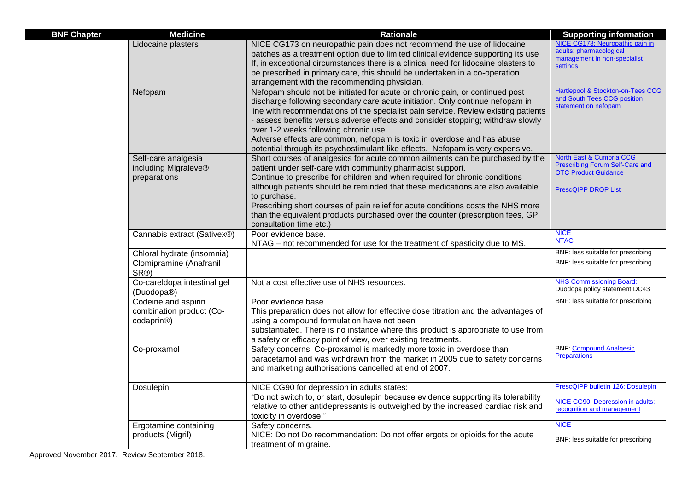| <b>BNF Chapter</b> | <b>Medicine</b>                                                            | <b>Rationale</b>                                                                                                                                                                                                                                                                                                                                                                                                                                                                                                                            | <b>Supporting information</b>                                                                                                              |
|--------------------|----------------------------------------------------------------------------|---------------------------------------------------------------------------------------------------------------------------------------------------------------------------------------------------------------------------------------------------------------------------------------------------------------------------------------------------------------------------------------------------------------------------------------------------------------------------------------------------------------------------------------------|--------------------------------------------------------------------------------------------------------------------------------------------|
|                    | Lidocaine plasters                                                         | NICE CG173 on neuropathic pain does not recommend the use of lidocaine<br>patches as a treatment option due to limited clinical evidence supporting its use<br>If, in exceptional circumstances there is a clinical need for lidocaine plasters to<br>be prescribed in primary care, this should be undertaken in a co-operation<br>arrangement with the recommending physician.                                                                                                                                                            | NICE CG173: Neuropathic pain in<br>adults: pharmacological<br>management in non-specialist<br>settings                                     |
|                    | Nefopam                                                                    | Nefopam should not be initiated for acute or chronic pain, or continued post<br>discharge following secondary care acute initiation. Only continue nefopam in<br>line with recommendations of the specialist pain service. Review existing patients<br>- assess benefits versus adverse effects and consider stopping; withdraw slowly<br>over 1-2 weeks following chronic use.<br>Adverse effects are common, nefopam is toxic in overdose and has abuse<br>potential through its psychostimulant-like effects. Nefopam is very expensive. | Hartlepool & Stockton-on-Tees CCG<br>and South Tees CCG position<br>statement on nefopam                                                   |
|                    | Self-care analgesia<br>including Migraleve®<br>preparations                | Short courses of analgesics for acute common ailments can be purchased by the<br>patient under self-care with community pharmacist support.<br>Continue to prescribe for children and when required for chronic conditions<br>although patients should be reminded that these medications are also available<br>to purchase.<br>Prescribing short courses of pain relief for acute conditions costs the NHS more<br>than the equivalent products purchased over the counter (prescription fees, GP<br>consultation time etc.)               | <b>North East &amp; Cumbria CCG</b><br><b>Prescribing Forum Self-Care and</b><br><b>OTC Product Guidance</b><br><b>PrescQIPP DROP List</b> |
|                    | Cannabis extract (Sativex®)                                                | Poor evidence base.<br>NTAG – not recommended for use for the treatment of spasticity due to MS.                                                                                                                                                                                                                                                                                                                                                                                                                                            | <b>NICE</b><br><b>NTAG</b>                                                                                                                 |
|                    | Chloral hydrate (insomnia)                                                 |                                                                                                                                                                                                                                                                                                                                                                                                                                                                                                                                             | BNF: less suitable for prescribing                                                                                                         |
|                    | Clomipramine (Anafranil<br>SR®)                                            |                                                                                                                                                                                                                                                                                                                                                                                                                                                                                                                                             | BNF: less suitable for prescribing                                                                                                         |
|                    | Co-careldopa intestinal gel<br>(Duodopa <sup>®</sup> )                     | Not a cost effective use of NHS resources.                                                                                                                                                                                                                                                                                                                                                                                                                                                                                                  | <b>NHS Commissioning Board:</b><br>Duodopa policy statement DC43                                                                           |
|                    | Codeine and aspirin<br>combination product (Co-<br>codaprin <sup>®</sup> ) | Poor evidence base.<br>This preparation does not allow for effective dose titration and the advantages of<br>using a compound formulation have not been<br>substantiated. There is no instance where this product is appropriate to use from<br>a safety or efficacy point of view, over existing treatments.                                                                                                                                                                                                                               | BNF: less suitable for prescribing                                                                                                         |
|                    | Co-proxamol                                                                | Safety concerns Co-proxamol is markedly more toxic in overdose than<br>paracetamol and was withdrawn from the market in 2005 due to safety concerns<br>and marketing authorisations cancelled at end of 2007.                                                                                                                                                                                                                                                                                                                               | <b>BNF: Compound Analgesic</b><br>Preparations                                                                                             |
|                    | Dosulepin                                                                  | NICE CG90 for depression in adults states:<br>"Do not switch to, or start, dosulepin because evidence supporting its tolerability<br>relative to other antidepressants is outweighed by the increased cardiac risk and<br>toxicity in overdose."                                                                                                                                                                                                                                                                                            | PrescQIPP bulletin 126: Dosulepin<br>NICE CG90: Depression in adults:<br>recognition and management                                        |
|                    | Ergotamine containing<br>products (Migril)                                 | Safety concerns.<br>NICE: Do not Do recommendation: Do not offer ergots or opioids for the acute<br>treatment of migraine.                                                                                                                                                                                                                                                                                                                                                                                                                  | <b>NICE</b><br>BNF: less suitable for prescribing                                                                                          |

Approved November 2017. Review September 2018.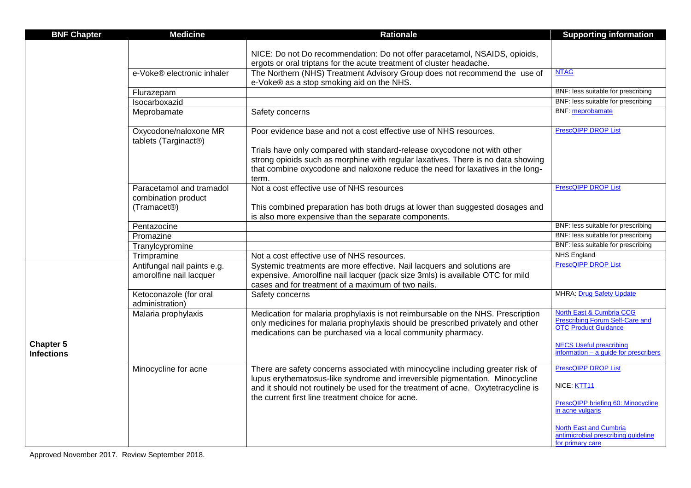| <b>BNF Chapter</b>                    | <b>Medicine</b>                                 | <b>Rationale</b>                                                                                                                                                                                                                   | <b>Supporting information</b>                                                                     |
|---------------------------------------|-------------------------------------------------|------------------------------------------------------------------------------------------------------------------------------------------------------------------------------------------------------------------------------------|---------------------------------------------------------------------------------------------------|
|                                       |                                                 |                                                                                                                                                                                                                                    |                                                                                                   |
|                                       |                                                 | NICE: Do not Do recommendation: Do not offer paracetamol, NSAIDS, opioids,                                                                                                                                                         |                                                                                                   |
|                                       | e-Voke® electronic inhaler                      | ergots or oral triptans for the acute treatment of cluster headache.<br>The Northern (NHS) Treatment Advisory Group does not recommend the use of                                                                                  | <b>NTAG</b>                                                                                       |
|                                       |                                                 | e-Voke® as a stop smoking aid on the NHS.                                                                                                                                                                                          |                                                                                                   |
|                                       | Flurazepam                                      |                                                                                                                                                                                                                                    | BNF: less suitable for prescribing                                                                |
|                                       | Isocarboxazid                                   |                                                                                                                                                                                                                                    | BNF: less suitable for prescribing                                                                |
|                                       | Meprobamate                                     | Safety concerns                                                                                                                                                                                                                    | <b>BNF:</b> meprobamate                                                                           |
|                                       | Oxycodone/naloxone MR<br>tablets (Targinact®)   | Poor evidence base and not a cost effective use of NHS resources.                                                                                                                                                                  | <b>PrescQIPP DROP List</b>                                                                        |
|                                       |                                                 | Trials have only compared with standard-release oxycodone not with other                                                                                                                                                           |                                                                                                   |
|                                       |                                                 | strong opioids such as morphine with regular laxatives. There is no data showing                                                                                                                                                   |                                                                                                   |
|                                       |                                                 | that combine oxycodone and naloxone reduce the need for laxatives in the long-<br>term.                                                                                                                                            |                                                                                                   |
|                                       | Paracetamol and tramadol<br>combination product | Not a cost effective use of NHS resources                                                                                                                                                                                          | <b>PrescQIPP DROP List</b>                                                                        |
|                                       | (Tramacet®)                                     | This combined preparation has both drugs at lower than suggested dosages and<br>is also more expensive than the separate components.                                                                                               |                                                                                                   |
|                                       | Pentazocine                                     |                                                                                                                                                                                                                                    | BNF: less suitable for prescribing                                                                |
|                                       | Promazine                                       |                                                                                                                                                                                                                                    | BNF: less suitable for prescribing                                                                |
|                                       | Tranylcypromine                                 |                                                                                                                                                                                                                                    | BNF: less suitable for prescribing                                                                |
|                                       | Trimpramine                                     | Not a cost effective use of NHS resources.                                                                                                                                                                                         | <b>NHS England</b>                                                                                |
|                                       | Antifungal nail paints e.g.                     | Systemic treatments are more effective. Nail lacquers and solutions are                                                                                                                                                            | <b>PrescQIPP DROP List</b>                                                                        |
|                                       | amorolfine nail lacquer                         | expensive. Amorolfine nail lacquer (pack size 3mls) is available OTC for mild                                                                                                                                                      |                                                                                                   |
|                                       |                                                 | cases and for treatment of a maximum of two nails.                                                                                                                                                                                 | <b>MHRA:</b> Drug Safety Update                                                                   |
| <b>Chapter 5</b><br><b>Infections</b> | Ketoconazole (for oral<br>administration)       | Safety concerns                                                                                                                                                                                                                    |                                                                                                   |
|                                       | Malaria prophylaxis                             | Medication for malaria prophylaxis is not reimbursable on the NHS. Prescription<br>only medicines for malaria prophylaxis should be prescribed privately and other<br>medications can be purchased via a local community pharmacy. | North East & Cumbria CCG<br><b>Prescribing Forum Self-Care and</b><br><b>OTC Product Guidance</b> |
|                                       |                                                 |                                                                                                                                                                                                                                    | <b>NECS Useful prescribing</b><br>information $-$ a guide for prescribers                         |
|                                       | Minocycline for acne                            | There are safety concerns associated with minocycline including greater risk of                                                                                                                                                    | <b>PrescQIPP DROP List</b>                                                                        |
|                                       |                                                 | lupus erythematosus-like syndrome and irreversible pigmentation. Minocycline<br>and it should not routinely be used for the treatment of acne. Oxytetracycline is                                                                  | NICE: KTT11                                                                                       |
|                                       |                                                 | the current first line treatment choice for acne.                                                                                                                                                                                  | PrescQIPP briefing 60: Minocycline<br>in acne vulgaris                                            |
|                                       |                                                 |                                                                                                                                                                                                                                    | <b>North East and Cumbria</b><br>antimicrobial prescribing quideline<br>for primary care          |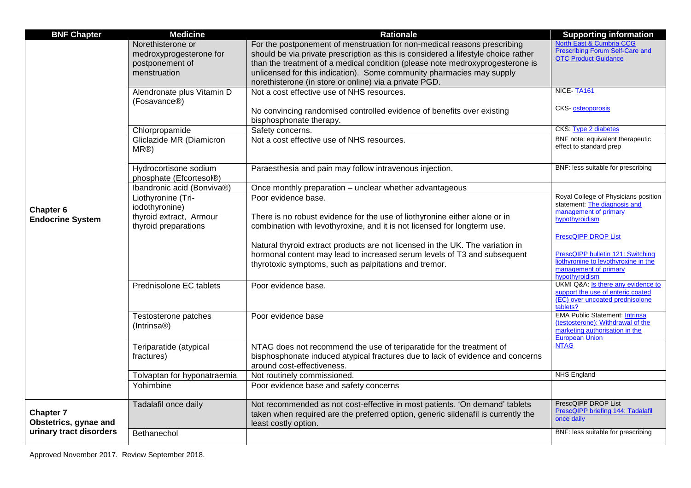| <b>BNF Chapter</b>                        | <b>Medicine</b>                                                                 | <b>Rationale</b>                                                                                                                                                                                                                                                                                                                                                                   | <b>Supporting information</b>                                                                                                         |
|-------------------------------------------|---------------------------------------------------------------------------------|------------------------------------------------------------------------------------------------------------------------------------------------------------------------------------------------------------------------------------------------------------------------------------------------------------------------------------------------------------------------------------|---------------------------------------------------------------------------------------------------------------------------------------|
|                                           | Norethisterone or<br>medroxyprogesterone for<br>postponement of<br>menstruation | For the postponement of menstruation for non-medical reasons prescribing<br>should be via private prescription as this is considered a lifestyle choice rather<br>than the treatment of a medical condition (please note medroxyprogesterone is<br>unlicensed for this indication). Some community pharmacies may supply<br>norethisterone (in store or online) via a private PGD. | North East & Cumbria CCG<br>Prescribing Forum Self-Care and<br><b>OTC Product Guidance</b>                                            |
|                                           | Alendronate plus Vitamin D<br>(Fosavance <sup>®</sup> )                         | Not a cost effective use of NHS resources.<br>No convincing randomised controlled evidence of benefits over existing<br>bisphosphonate therapy.                                                                                                                                                                                                                                    | NICE-TA161<br><b>CKS</b> osteoporosis                                                                                                 |
|                                           | Chlorpropamide                                                                  | Safety concerns.                                                                                                                                                                                                                                                                                                                                                                   | CKS. Type 2 diabetes                                                                                                                  |
|                                           | Gliclazide MR (Diamicron<br>MR@                                                 | Not a cost effective use of NHS resources.                                                                                                                                                                                                                                                                                                                                         | BNF note: equivalent therapeutic<br>effect to standard prep                                                                           |
|                                           | Hydrocortisone sodium<br>phosphate (Efcortesol®)                                | Paraesthesia and pain may follow intravenous injection.                                                                                                                                                                                                                                                                                                                            | BNF: less suitable for prescribing                                                                                                    |
|                                           | Ibandronic acid (Bonviva®)                                                      | Once monthly preparation - unclear whether advantageous                                                                                                                                                                                                                                                                                                                            |                                                                                                                                       |
| Chapter 6                                 | Liothyronine (Tri-<br>iodothyronine)                                            | Poor evidence base.                                                                                                                                                                                                                                                                                                                                                                | Royal College of Physicians position<br>statement. The diagnosis and<br>management of primary                                         |
| <b>Endocrine System</b>                   | thyroid extract, Armour<br>thyroid preparations                                 | There is no robust evidence for the use of liothyronine either alone or in<br>combination with levothyroxine, and it is not licensed for longterm use.                                                                                                                                                                                                                             | hypothyroidism<br><b>PrescQIPP DROP List</b>                                                                                          |
|                                           |                                                                                 | Natural thyroid extract products are not licensed in the UK. The variation in<br>hormonal content may lead to increased serum levels of T3 and subsequent<br>thyrotoxic symptoms, such as palpitations and tremor.                                                                                                                                                                 | PrescQIPP bulletin 121: Switching<br>liothyronine to levothyroxine in the<br>management of primary<br>hypothyroidism                  |
|                                           | Prednisolone EC tablets                                                         | Poor evidence base.                                                                                                                                                                                                                                                                                                                                                                | UKMI Q&A: Is there any evidence to<br>support the use of enteric coated<br>(EC) over uncoated prednisolone<br>tablets?                |
|                                           | Testosterone patches<br>(Intrinsa <sup>®</sup> )                                | Poor evidence base                                                                                                                                                                                                                                                                                                                                                                 | <b>EMA Public Statement: Intrinsa</b><br>(testosterone): Withdrawal of the<br>marketing authorisation in the<br><b>European Union</b> |
|                                           | Teriparatide (atypical<br>fractures)                                            | NTAG does not recommend the use of teriparatide for the treatment of<br>bisphosphonate induced atypical fractures due to lack of evidence and concerns<br>around cost-effectiveness.                                                                                                                                                                                               | <b>NTAG</b>                                                                                                                           |
|                                           | Tolvaptan for hyponatraemia                                                     | Not routinely commissioned.                                                                                                                                                                                                                                                                                                                                                        | <b>NHS England</b>                                                                                                                    |
|                                           | Yohimbine                                                                       | Poor evidence base and safety concerns                                                                                                                                                                                                                                                                                                                                             |                                                                                                                                       |
| <b>Chapter 7</b><br>Obstetrics, gynae and | Tadalafil once daily                                                            | Not recommended as not cost-effective in most patients. 'On demand' tablets<br>taken when required are the preferred option, generic sildenafil is currently the<br>least costly option.                                                                                                                                                                                           | PrescQIPP DROP List<br>PrescQIPP briefing 144: Tadalafil<br>once daily                                                                |
| urinary tract disorders                   | Bethanechol                                                                     |                                                                                                                                                                                                                                                                                                                                                                                    | BNF: less suitable for prescribing                                                                                                    |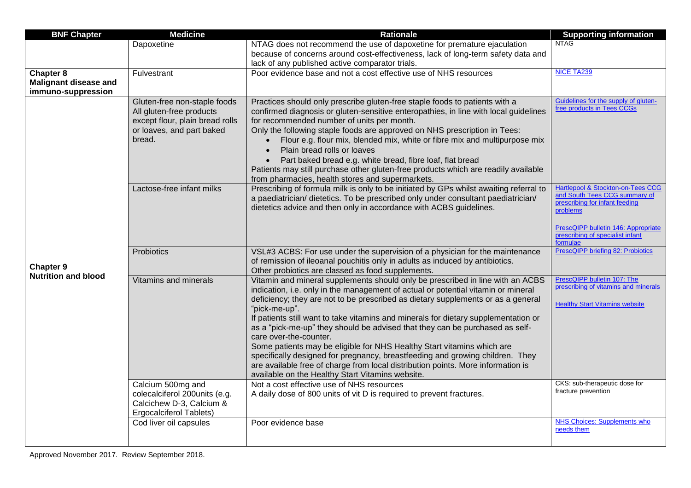| <b>BNF Chapter</b>           | <b>Medicine</b>                     | <b>Rationale</b>                                                                                                                                        | <b>Supporting information</b>                                      |
|------------------------------|-------------------------------------|---------------------------------------------------------------------------------------------------------------------------------------------------------|--------------------------------------------------------------------|
|                              | Dapoxetine                          | NTAG does not recommend the use of dapoxetine for premature ejaculation                                                                                 | <b>NTAG</b>                                                        |
|                              |                                     | because of concerns around cost-effectiveness, lack of long-term safety data and                                                                        |                                                                    |
|                              |                                     | lack of any published active comparator trials.                                                                                                         |                                                                    |
| Chapter $8$                  | Fulvestrant                         | Poor evidence base and not a cost effective use of NHS resources                                                                                        | <b>NICE TA239</b>                                                  |
| <b>Malignant disease and</b> |                                     |                                                                                                                                                         |                                                                    |
| immuno-suppression           |                                     |                                                                                                                                                         |                                                                    |
|                              | Gluten-free non-staple foods        | Practices should only prescribe gluten-free staple foods to patients with a                                                                             | Guidelines for the supply of gluten-<br>free products in Tees CCGs |
|                              | All gluten-free products            | confirmed diagnosis or gluten-sensitive enteropathies, in line with local guidelines                                                                    |                                                                    |
|                              | except flour, plain bread rolls     | for recommended number of units per month.                                                                                                              |                                                                    |
|                              | or loaves, and part baked<br>bread. | Only the following staple foods are approved on NHS prescription in Tees:<br>Flour e.g. flour mix, blended mix, white or fibre mix and multipurpose mix |                                                                    |
|                              |                                     | Plain bread rolls or loaves<br>$\bullet$                                                                                                                |                                                                    |
|                              |                                     | $\bullet$                                                                                                                                               |                                                                    |
|                              |                                     | Part baked bread e.g. white bread, fibre loaf, flat bread<br>Patients may still purchase other gluten-free products which are readily available         |                                                                    |
|                              |                                     | from pharmacies, health stores and supermarkets.                                                                                                        |                                                                    |
|                              | Lactose-free infant milks           | Prescribing of formula milk is only to be initiated by GPs whilst awaiting referral to                                                                  | <b>Hartlepool &amp; Stockton-on-Tees CCG</b>                       |
|                              |                                     | a paediatrician/ dietetics. To be prescribed only under consultant paediatrician/                                                                       | and South Tees CCG summary of                                      |
|                              |                                     | dietetics advice and then only in accordance with ACBS guidelines.                                                                                      | prescribing for infant feeding<br>problems                         |
|                              |                                     |                                                                                                                                                         |                                                                    |
|                              |                                     |                                                                                                                                                         | PrescQIPP bulletin 146: Appropriate                                |
|                              |                                     |                                                                                                                                                         | prescribing of specialist infant<br>formulae                       |
|                              | Probiotics                          | VSL#3 ACBS: For use under the supervision of a physician for the maintenance                                                                            | PrescQIPP briefing 82: Probiotics                                  |
|                              |                                     | of remission of ileoanal pouchitis only in adults as induced by antibiotics.                                                                            |                                                                    |
| Chapter 9                    |                                     | Other probiotics are classed as food supplements.                                                                                                       |                                                                    |
| <b>Nutrition and blood</b>   | <b>Vitamins and minerals</b>        | Vitamin and mineral supplements should only be prescribed in line with an ACBS                                                                          | PrescQIPP bulletin 107: The                                        |
|                              |                                     | indication, i.e. only in the management of actual or potential vitamin or mineral                                                                       | prescribing of vitamins and minerals                               |
|                              |                                     | deficiency; they are not to be prescribed as dietary supplements or as a general                                                                        | <b>Healthy Start Vitamins website</b>                              |
|                              |                                     | "pick-me-up".                                                                                                                                           |                                                                    |
|                              |                                     | If patients still want to take vitamins and minerals for dietary supplementation or                                                                     |                                                                    |
|                              |                                     | as a "pick-me-up" they should be advised that they can be purchased as self-<br>care over-the-counter.                                                  |                                                                    |
|                              |                                     | Some patients may be eligible for NHS Healthy Start vitamins which are                                                                                  |                                                                    |
|                              |                                     | specifically designed for pregnancy, breastfeeding and growing children. They                                                                           |                                                                    |
|                              |                                     | are available free of charge from local distribution points. More information is                                                                        |                                                                    |
|                              |                                     | available on the Healthy Start Vitamins website.                                                                                                        |                                                                    |
|                              | Calcium 500mg and                   | Not a cost effective use of NHS resources                                                                                                               | CKS: sub-therapeutic dose for                                      |
|                              | colecalciferol 200units (e.g.       | A daily dose of 800 units of vit D is required to prevent fractures.                                                                                    | fracture prevention                                                |
|                              | Calcichew D-3, Calcium &            |                                                                                                                                                         |                                                                    |
|                              | <b>Ergocalciferol Tablets)</b>      |                                                                                                                                                         |                                                                    |
|                              | Cod liver oil capsules              | Poor evidence base                                                                                                                                      | <b>NHS Choices: Supplements who</b><br>needs them                  |
|                              |                                     |                                                                                                                                                         |                                                                    |
|                              |                                     |                                                                                                                                                         |                                                                    |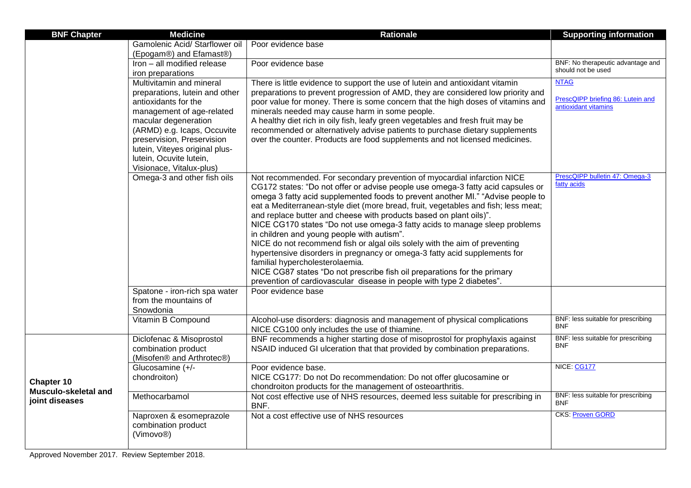| <b>BNF Chapter</b>                                   | <b>Medicine</b>                                           | <b>Rationale</b>                                                                                                           | <b>Supporting information</b>                             |
|------------------------------------------------------|-----------------------------------------------------------|----------------------------------------------------------------------------------------------------------------------------|-----------------------------------------------------------|
|                                                      | Gamolenic Acid/ Starflower oil                            | Poor evidence base                                                                                                         |                                                           |
|                                                      | (Epogam®) and Efamast®)                                   |                                                                                                                            |                                                           |
|                                                      | Iron - all modified release                               | Poor evidence base                                                                                                         | BNF: No therapeutic advantage and                         |
|                                                      | iron preparations                                         |                                                                                                                            | should not be used                                        |
|                                                      | Multivitamin and mineral                                  | There is little evidence to support the use of lutein and antioxidant vitamin                                              | <b>NTAG</b>                                               |
|                                                      | preparations, lutein and other                            | preparations to prevent progression of AMD, they are considered low priority and                                           |                                                           |
|                                                      | antioxidants for the                                      | poor value for money. There is some concern that the high doses of vitamins and                                            | PrescQIPP briefing 86: Lutein and<br>antioxidant vitamins |
|                                                      | management of age-related                                 | minerals needed may cause harm in some people.                                                                             |                                                           |
|                                                      | macular degeneration                                      | A healthy diet rich in oily fish, leafy green vegetables and fresh fruit may be                                            |                                                           |
|                                                      | (ARMD) e.g. Icaps, Occuvite                               | recommended or alternatively advise patients to purchase dietary supplements                                               |                                                           |
|                                                      | preservision, Preservision                                | over the counter. Products are food supplements and not licensed medicines.                                                |                                                           |
|                                                      | lutein, Viteyes original plus-<br>lutein, Ocuvite lutein, |                                                                                                                            |                                                           |
|                                                      | Visionace, Vitalux-plus)                                  |                                                                                                                            |                                                           |
|                                                      | Omega-3 and other fish oils                               | Not recommended. For secondary prevention of myocardial infarction NICE                                                    | PrescQIPP bulletin 47: Omega-3                            |
|                                                      |                                                           | CG172 states: "Do not offer or advise people use omega-3 fatty acid capsules or                                            | fatty acids                                               |
|                                                      |                                                           | omega 3 fatty acid supplemented foods to prevent another MI." "Advise people to                                            |                                                           |
|                                                      |                                                           | eat a Mediterranean-style diet (more bread, fruit, vegetables and fish; less meat;                                         |                                                           |
|                                                      |                                                           | and replace butter and cheese with products based on plant oils)".                                                         |                                                           |
|                                                      |                                                           | NICE CG170 states "Do not use omega-3 fatty acids to manage sleep problems                                                 |                                                           |
|                                                      |                                                           | in children and young people with autism".                                                                                 |                                                           |
|                                                      |                                                           | NICE do not recommend fish or algal oils solely with the aim of preventing                                                 |                                                           |
|                                                      |                                                           | hypertensive disorders in pregnancy or omega-3 fatty acid supplements for                                                  |                                                           |
|                                                      |                                                           | familial hypercholesterolaemia.                                                                                            |                                                           |
|                                                      |                                                           | NICE CG87 states "Do not prescribe fish oil preparations for the primary                                                   |                                                           |
|                                                      |                                                           | prevention of cardiovascular disease in people with type 2 diabetes".                                                      |                                                           |
|                                                      | Spatone - iron-rich spa water                             | Poor evidence base                                                                                                         |                                                           |
|                                                      | from the mountains of                                     |                                                                                                                            |                                                           |
|                                                      | Snowdonia                                                 |                                                                                                                            | BNF: less suitable for prescribing                        |
|                                                      | Vitamin B Compound                                        | Alcohol-use disorders: diagnosis and management of physical complications<br>NICE CG100 only includes the use of thiamine. | <b>BNF</b>                                                |
|                                                      | Diclofenac & Misoprostol                                  | BNF recommends a higher starting dose of misoprostol for prophylaxis against                                               | BNF: less suitable for prescribing                        |
|                                                      | combination product                                       | NSAID induced GI ulceration that that provided by combination preparations.                                                | <b>BNF</b>                                                |
|                                                      | (Misofen® and Arthrotec®)                                 |                                                                                                                            |                                                           |
|                                                      | Glucosamine (+/-                                          | Poor evidence base.                                                                                                        | NICE: CG177                                               |
| Chapter 10<br>Musculo-skeletal and<br>joint diseases | chondroiton)                                              | NICE CG177: Do not Do recommendation: Do not offer glucosamine or                                                          |                                                           |
|                                                      |                                                           | chondroiton products for the management of osteoarthritis.                                                                 |                                                           |
|                                                      | Methocarbamol                                             | Not cost effective use of NHS resources, deemed less suitable for prescribing in<br>BNF.                                   | BNF: less suitable for prescribing<br><b>BNF</b>          |
|                                                      | Naproxen & esomeprazole                                   | Not a cost effective use of NHS resources                                                                                  | <b>CKS: Proven GORD</b>                                   |
|                                                      | combination product                                       |                                                                                                                            |                                                           |
|                                                      | (Vimovo <sup>®</sup> )                                    |                                                                                                                            |                                                           |
|                                                      |                                                           |                                                                                                                            |                                                           |

Approved November 2017. Review September 2018.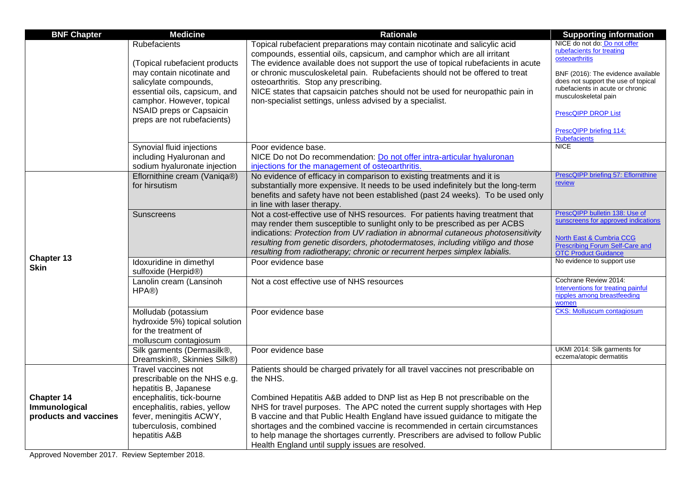| <b>BNF Chapter</b>    | <b>Medicine</b>                                           | <b>Rationale</b>                                                                                                                                                    | <b>Supporting information</b>                                         |
|-----------------------|-----------------------------------------------------------|---------------------------------------------------------------------------------------------------------------------------------------------------------------------|-----------------------------------------------------------------------|
|                       | <b>Rubefacients</b>                                       | Topical rubefacient preparations may contain nicotinate and salicylic acid                                                                                          | NICE do not do: Do not offer                                          |
|                       |                                                           | compounds, essential oils, capsicum, and camphor which are all irritant                                                                                             | rubefacients for treating<br>osteoarthritis                           |
|                       | (Topical rubefacient products                             | The evidence available does not support the use of topical rubefacients in acute                                                                                    |                                                                       |
|                       | may contain nicotinate and                                | or chronic musculoskeletal pain. Rubefacients should not be offered to treat                                                                                        | BNF (2016): The evidence available                                    |
|                       | salicylate compounds,                                     | osteoarthritis. Stop any prescribing.                                                                                                                               | does not support the use of topical                                   |
|                       | essential oils, capsicum, and                             | NICE states that capsaicin patches should not be used for neuropathic pain in                                                                                       | rubefacients in acute or chronic<br>musculoskeletal pain              |
|                       | camphor. However, topical                                 | non-specialist settings, unless advised by a specialist.                                                                                                            |                                                                       |
|                       | NSAID preps or Capsaicin                                  |                                                                                                                                                                     | <b>PrescQIPP DROP List</b>                                            |
|                       | preps are not rubefacients)                               |                                                                                                                                                                     |                                                                       |
|                       |                                                           |                                                                                                                                                                     | PrescQIPP briefing 114:<br><b>Rubefacients</b>                        |
|                       | Synovial fluid injections                                 | Poor evidence base.                                                                                                                                                 | <b>NICE</b>                                                           |
|                       | including Hyaluronan and                                  | NICE Do not Do recommendation: Do not offer intra-articular hyaluronan                                                                                              |                                                                       |
|                       | sodium hyaluronate injection                              | injections for the management of osteoarthritis.                                                                                                                    |                                                                       |
|                       | Eflornithine cream (Vaniqa®)                              | No evidence of efficacy in comparison to existing treatments and it is                                                                                              | PrescQIPP briefing 57: Eflornithine<br>review                         |
|                       | for hirsutism                                             | substantially more expensive. It needs to be used indefinitely but the long-term                                                                                    |                                                                       |
|                       |                                                           | benefits and safety have not been established (past 24 weeks). To be used only                                                                                      |                                                                       |
|                       |                                                           | in line with laser therapy.                                                                                                                                         |                                                                       |
|                       | <b>Sunscreens</b>                                         | Not a cost-effective use of NHS resources. For patients having treatment that                                                                                       | PrescQIPP bulletin 138: Use of<br>sunscreens for approved indications |
|                       |                                                           | may render them susceptible to sunlight only to be prescribed as per ACBS                                                                                           |                                                                       |
|                       |                                                           | indications: Protection from UV radiation in abnormal cutaneous photosensitivity<br>resulting from genetic disorders, photodermatoses, including vitiligo and those | North East & Cumbria CCG                                              |
|                       |                                                           | resulting from radiotherapy; chronic or recurrent herpes simplex labialis.                                                                                          | <b>Prescribing Forum Self-Care and</b><br><b>OTC Product Guidance</b> |
| <b>Chapter 13</b>     | Idoxuridine in dimethyl                                   | Poor evidence base                                                                                                                                                  | No evidence to support use                                            |
| <b>Skin</b>           | sulfoxide (Herpid®)                                       |                                                                                                                                                                     |                                                                       |
|                       | Lanolin cream (Lansinoh                                   | Not a cost effective use of NHS resources                                                                                                                           | Cochrane Review 2014:<br>Interventions for treating painful           |
|                       | HPA®)                                                     |                                                                                                                                                                     | nipples among breastfeeding                                           |
|                       |                                                           |                                                                                                                                                                     | women                                                                 |
|                       | Molludab (potassium                                       | Poor evidence base                                                                                                                                                  | <b>CKS: Molluscum contagiosum</b>                                     |
|                       | hydroxide 5%) topical solution                            |                                                                                                                                                                     |                                                                       |
|                       | for the treatment of                                      |                                                                                                                                                                     |                                                                       |
|                       | molluscum contagiosum                                     |                                                                                                                                                                     | UKMI 2014: Silk garments for                                          |
|                       | Silk garments (Dermasilk®,<br>Dreamskin®, Skinnies Silk®) | Poor evidence base                                                                                                                                                  | eczema/atopic dermatitis                                              |
|                       | Travel vaccines not                                       | Patients should be charged privately for all travel vaccines not prescribable on                                                                                    |                                                                       |
|                       | prescribable on the NHS e.g.                              | the NHS.                                                                                                                                                            |                                                                       |
|                       | hepatitis B, Japanese                                     |                                                                                                                                                                     |                                                                       |
| <b>Chapter 14</b>     | encephalitis, tick-bourne                                 | Combined Hepatitis A&B added to DNP list as Hep B not prescribable on the                                                                                           |                                                                       |
| Immunological         | encephalitis, rabies, yellow                              | NHS for travel purposes. The APC noted the current supply shortages with Hep                                                                                        |                                                                       |
| products and vaccines | fever, meningitis ACWY,                                   | B vaccine and that Public Health England have issued guidance to mitigate the                                                                                       |                                                                       |
|                       | tuberculosis, combined                                    | shortages and the combined vaccine is recommended in certain circumstances                                                                                          |                                                                       |
|                       | hepatitis A&B                                             | to help manage the shortages currently. Prescribers are advised to follow Public                                                                                    |                                                                       |
|                       |                                                           | Health England until supply issues are resolved.                                                                                                                    |                                                                       |

Approved November 2017. Review September 2018.